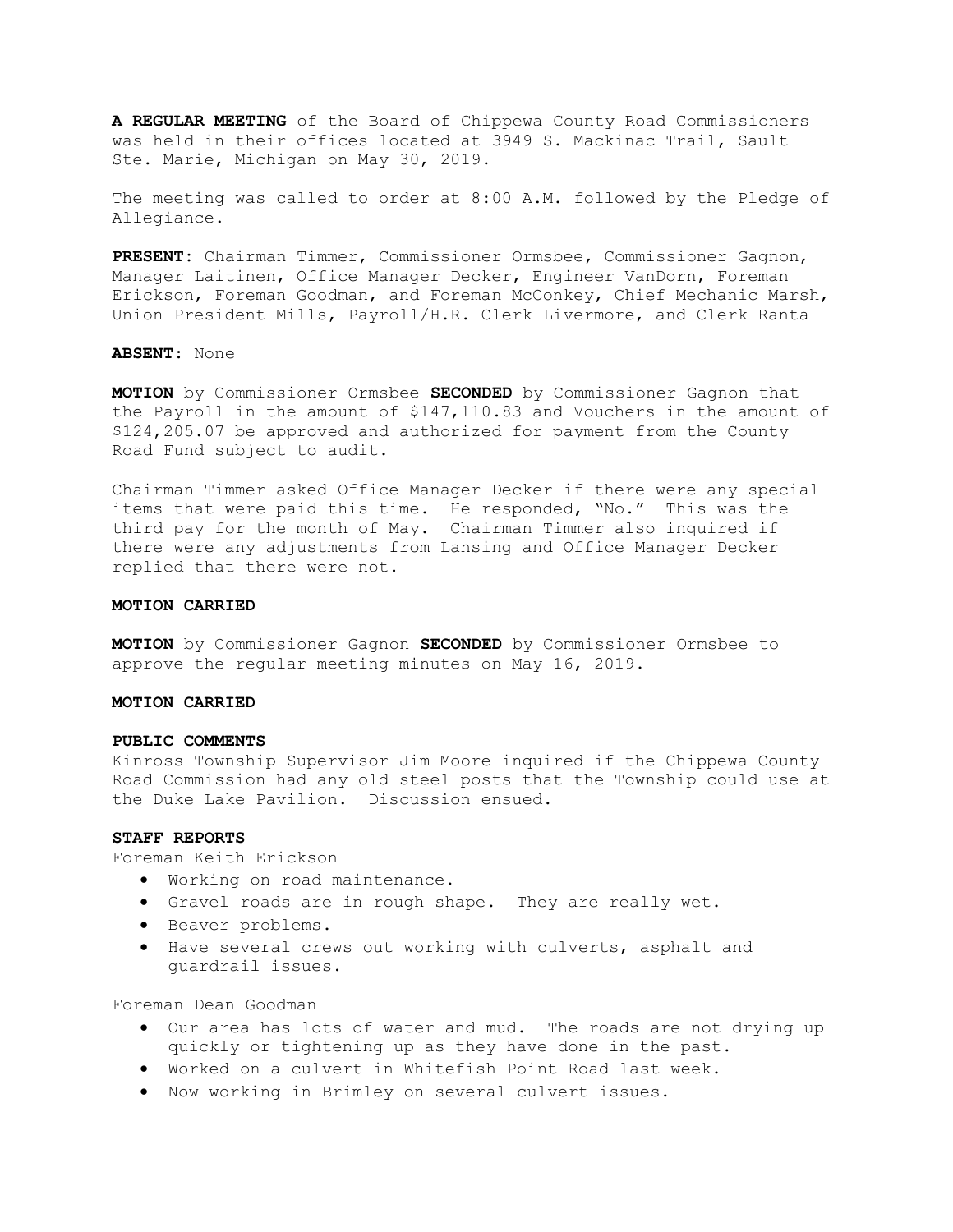A REGULAR MEETING of the Board of Chippewa County Road Commissioners was held in their offices located at 3949 S. Mackinac Trail, Sault Ste. Marie, Michigan on May 30, 2019.

The meeting was called to order at 8:00 A.M. followed by the Pledge of Allegiance.

PRESENT: Chairman Timmer, Commissioner Ormsbee, Commissioner Gagnon, Manager Laitinen, Office Manager Decker, Engineer VanDorn, Foreman Erickson, Foreman Goodman, and Foreman McConkey, Chief Mechanic Marsh, Union President Mills, Payroll/H.R. Clerk Livermore, and Clerk Ranta

ABSENT: None

MOTION by Commissioner Ormsbee SECONDED by Commissioner Gagnon that the Payroll in the amount of \$147,110.83 and Vouchers in the amount of \$124,205.07 be approved and authorized for payment from the County Road Fund subject to audit.

Chairman Timmer asked Office Manager Decker if there were any special items that were paid this time. He responded, "No." This was the third pay for the month of May. Chairman Timmer also inquired if there were any adjustments from Lansing and Office Manager Decker replied that there were not.

#### MOTION CARRIED

MOTION by Commissioner Gagnon SECONDED by Commissioner Ormsbee to approve the regular meeting minutes on May 16, 2019.

## MOTION CARRIED

### PUBLIC COMMENTS

Kinross Township Supervisor Jim Moore inquired if the Chippewa County Road Commission had any old steel posts that the Township could use at the Duke Lake Pavilion. Discussion ensued.

## STAFF REPORTS

Foreman Keith Erickson

- Working on road maintenance.
- Gravel roads are in rough shape. They are really wet.
- Beaver problems.
- Have several crews out working with culverts, asphalt and guardrail issues.

Foreman Dean Goodman

- Our area has lots of water and mud. The roads are not drying up quickly or tightening up as they have done in the past.
- Worked on a culvert in Whitefish Point Road last week.
- Now working in Brimley on several culvert issues.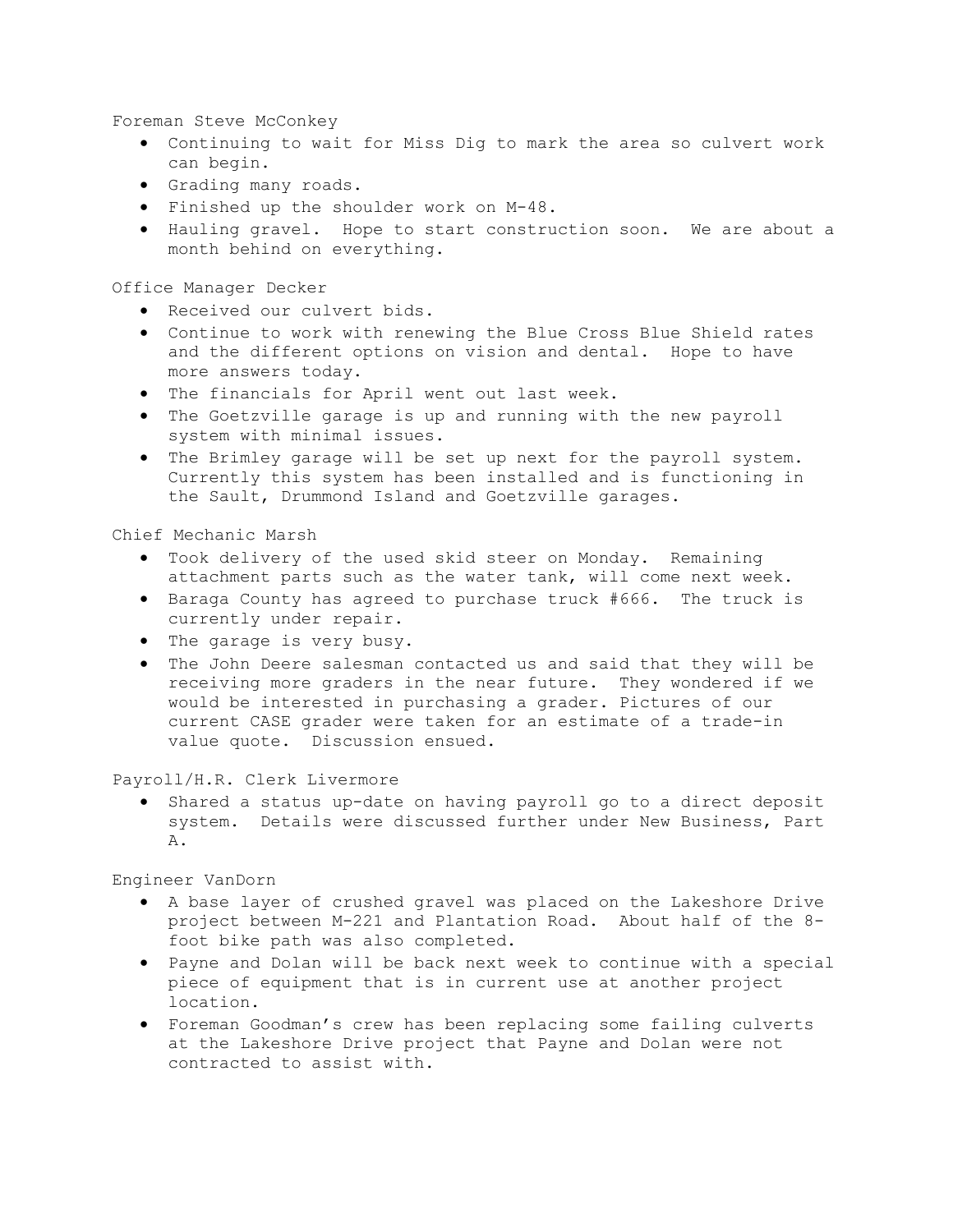Foreman Steve McConkey

- Continuing to wait for Miss Dig to mark the area so culvert work can begin.
- Grading many roads.
- Finished up the shoulder work on M-48.
- Hauling gravel. Hope to start construction soon. We are about a month behind on everything.

Office Manager Decker

- Received our culvert bids.
- Continue to work with renewing the Blue Cross Blue Shield rates and the different options on vision and dental. Hope to have more answers today.
- The financials for April went out last week.
- The Goetzville garage is up and running with the new payroll system with minimal issues.
- The Brimley garage will be set up next for the payroll system. Currently this system has been installed and is functioning in the Sault, Drummond Island and Goetzville garages.

# Chief Mechanic Marsh

- Took delivery of the used skid steer on Monday. Remaining attachment parts such as the water tank, will come next week.
- Baraga County has agreed to purchase truck #666. The truck is currently under repair.
- The garage is very busy.
- The John Deere salesman contacted us and said that they will be receiving more graders in the near future. They wondered if we would be interested in purchasing a grader. Pictures of our current CASE grader were taken for an estimate of a trade-in value quote. Discussion ensued.

Payroll/H.R. Clerk Livermore

 Shared a status up-date on having payroll go to a direct deposit system. Details were discussed further under New Business, Part A.

Engineer VanDorn

- A base layer of crushed gravel was placed on the Lakeshore Drive project between M-221 and Plantation Road. About half of the 8 foot bike path was also completed.
- Payne and Dolan will be back next week to continue with a special piece of equipment that is in current use at another project location.
- Foreman Goodman's crew has been replacing some failing culverts at the Lakeshore Drive project that Payne and Dolan were not contracted to assist with.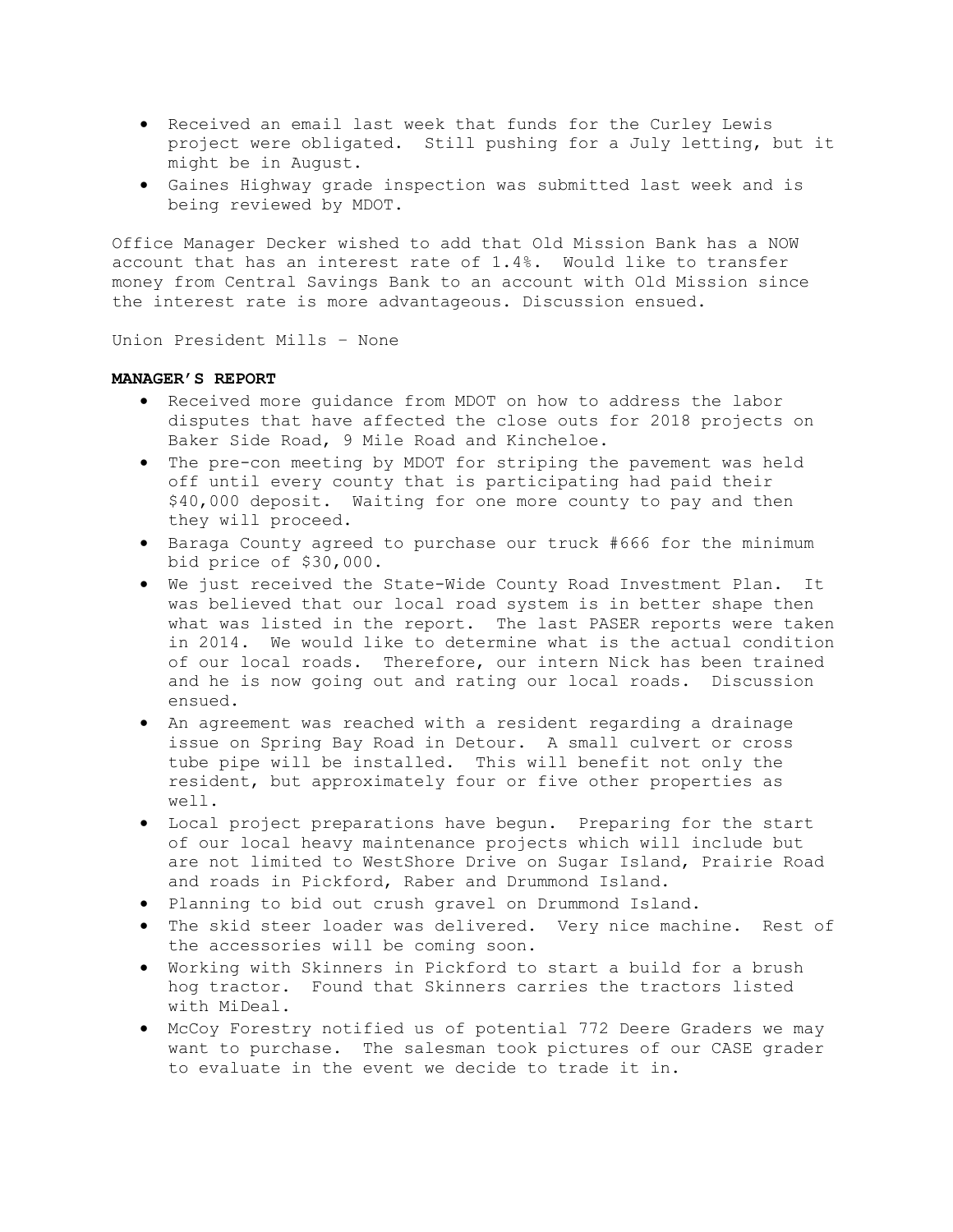- Received an email last week that funds for the Curley Lewis project were obligated. Still pushing for a July letting, but it might be in August.
- Gaines Highway grade inspection was submitted last week and is being reviewed by MDOT.

Office Manager Decker wished to add that Old Mission Bank has a NOW account that has an interest rate of 1.4%. Would like to transfer money from Central Savings Bank to an account with Old Mission since the interest rate is more advantageous. Discussion ensued.

Union President Mills – None

# MANAGER'S REPORT

- Received more guidance from MDOT on how to address the labor disputes that have affected the close outs for 2018 projects on Baker Side Road, 9 Mile Road and Kincheloe.
- The pre-con meeting by MDOT for striping the pavement was held off until every county that is participating had paid their \$40,000 deposit. Waiting for one more county to pay and then they will proceed.
- Baraga County agreed to purchase our truck #666 for the minimum bid price of \$30,000.
- We just received the State-Wide County Road Investment Plan. It was believed that our local road system is in better shape then what was listed in the report. The last PASER reports were taken in 2014. We would like to determine what is the actual condition of our local roads. Therefore, our intern Nick has been trained and he is now going out and rating our local roads. Discussion ensued.
- An agreement was reached with a resident regarding a drainage issue on Spring Bay Road in Detour. A small culvert or cross tube pipe will be installed. This will benefit not only the resident, but approximately four or five other properties as well.
- Local project preparations have begun. Preparing for the start of our local heavy maintenance projects which will include but are not limited to WestShore Drive on Sugar Island, Prairie Road and roads in Pickford, Raber and Drummond Island.
- Planning to bid out crush gravel on Drummond Island.
- The skid steer loader was delivered. Very nice machine. Rest of the accessories will be coming soon.
- Working with Skinners in Pickford to start a build for a brush hog tractor. Found that Skinners carries the tractors listed with MiDeal.
- McCoy Forestry notified us of potential 772 Deere Graders we may want to purchase. The salesman took pictures of our CASE grader to evaluate in the event we decide to trade it in.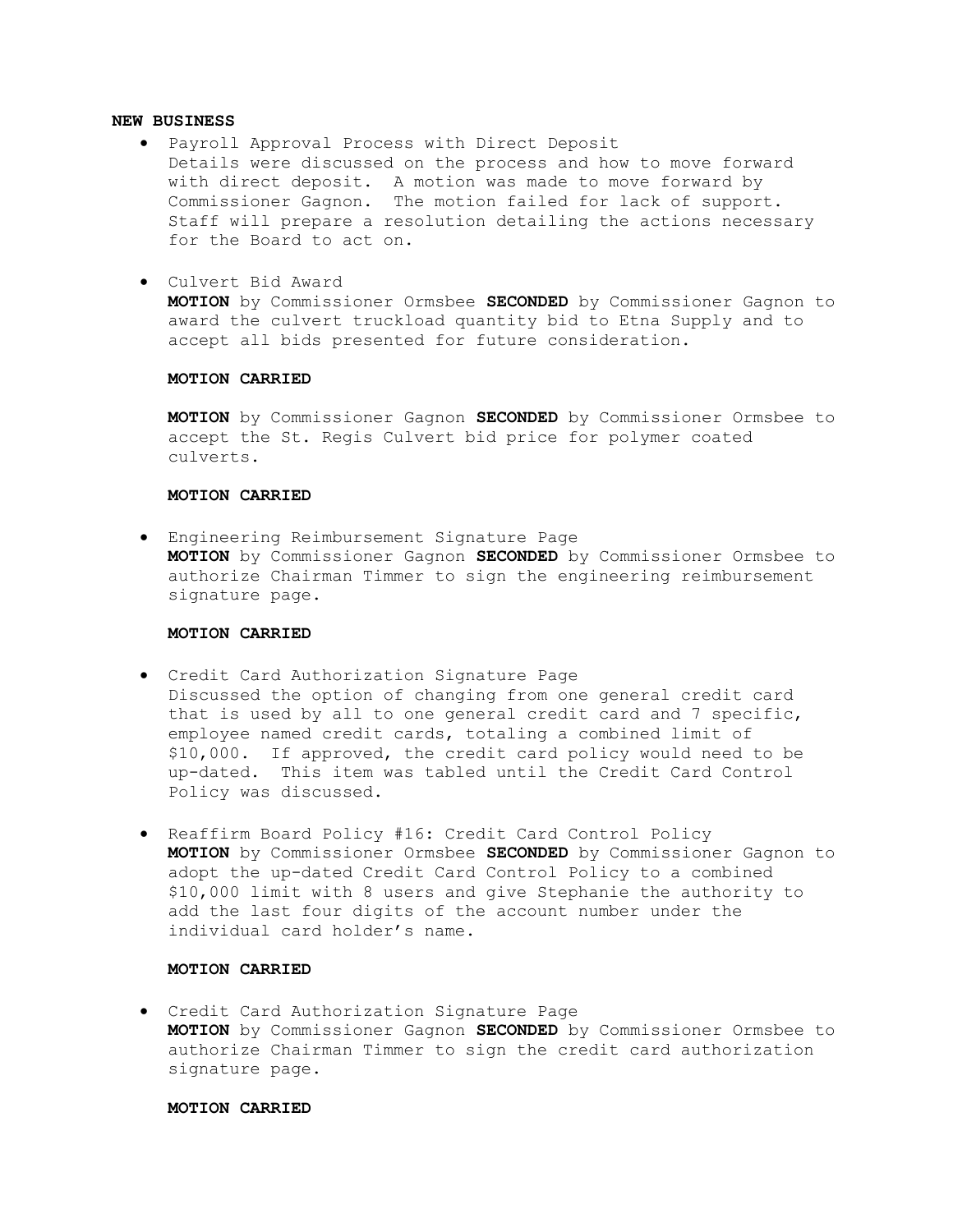## NEW BUSINESS

- Payroll Approval Process with Direct Deposit Details were discussed on the process and how to move forward with direct deposit. A motion was made to move forward by Commissioner Gagnon. The motion failed for lack of support. Staff will prepare a resolution detailing the actions necessary for the Board to act on.
- Culvert Bid Award

MOTION by Commissioner Ormsbee SECONDED by Commissioner Gagnon to award the culvert truckload quantity bid to Etna Supply and to accept all bids presented for future consideration.

## MOTION CARRIED

MOTION by Commissioner Gagnon SECONDED by Commissioner Ormsbee to accept the St. Regis Culvert bid price for polymer coated culverts.

### MOTION CARRIED

 Engineering Reimbursement Signature Page MOTION by Commissioner Gagnon SECONDED by Commissioner Ormsbee to authorize Chairman Timmer to sign the engineering reimbursement signature page.

## MOTION CARRIED

- Credit Card Authorization Signature Page Discussed the option of changing from one general credit card that is used by all to one general credit card and 7 specific, employee named credit cards, totaling a combined limit of \$10,000. If approved, the credit card policy would need to be up-dated. This item was tabled until the Credit Card Control Policy was discussed.
- Reaffirm Board Policy #16: Credit Card Control Policy MOTION by Commissioner Ormsbee SECONDED by Commissioner Gagnon to adopt the up-dated Credit Card Control Policy to a combined \$10,000 limit with 8 users and give Stephanie the authority to add the last four digits of the account number under the individual card holder's name.

# MOTION CARRIED

 Credit Card Authorization Signature Page MOTION by Commissioner Gagnon SECONDED by Commissioner Ormsbee to authorize Chairman Timmer to sign the credit card authorization signature page.

## MOTION CARRIED